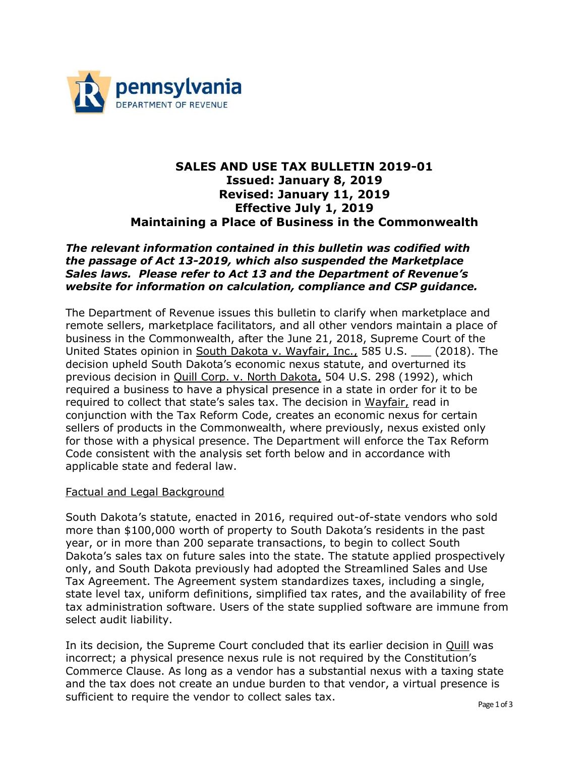

# **SALES AND USE TAX BULLETIN 2019-01 Issued: January 8, 2019 Revised: January 11, 2019 Effective July 1, 2019 Maintaining a Place of Business in the Commonwealth**

# *The relevant information contained in this bulletin was codified with the passage of Act 13-2019, which also suspended the Marketplace Sales laws. Please refer to Act 13 and the Department of Revenue's website for information on calculation, compliance and CSP guidance.*

The Department of Revenue issues this bulletin to clarify when marketplace and remote sellers, marketplace facilitators, and all other vendors maintain a place of business in the Commonwealth, after the June 21, 2018, Supreme Court of the United States opinion in South Dakota v. Wayfair, Inc., 585 U.S. \_\_\_ (2018). The decision upheld South Dakota's economic nexus statute, and overturned its previous decision in Quill Corp. v. North Dakota, 504 U.S. 298 (1992), which required a business to have a physical presence in a state in order for it to be required to collect that state's sales tax. The decision in Wayfair, read in conjunction with the Tax Reform Code, creates an economic nexus for certain sellers of products in the Commonwealth, where previously, nexus existed only for those with a physical presence. The Department will enforce the Tax Reform Code consistent with the analysis set forth below and in accordance with applicable state and federal law.

## Factual and Legal Background

South Dakota's statute, enacted in 2016, required out-of-state vendors who sold more than \$100,000 worth of property to South Dakota's residents in the past year, or in more than 200 separate transactions, to begin to collect South Dakota's sales tax on future sales into the state. The statute applied prospectively only, and South Dakota previously had adopted the Streamlined Sales and Use Tax Agreement. The Agreement system standardizes taxes, including a single, state level tax, uniform definitions, simplified tax rates, and the availability of free tax administration software. Users of the state supplied software are immune from select audit liability.

In its decision, the Supreme Court concluded that its earlier decision in Quill was incorrect; a physical presence nexus rule is not required by the Constitution's Commerce Clause. As long as a vendor has a substantial nexus with a taxing state and the tax does not create an undue burden to that vendor, a virtual presence is sufficient to require the vendor to collect sales tax.  $P_{\text{age 1 of 3}}$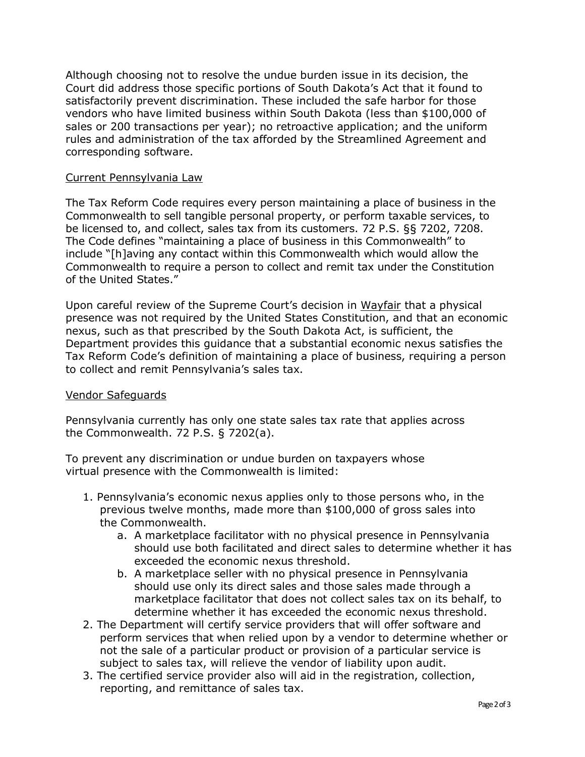Although choosing not to resolve the undue burden issue in its decision, the Court did address those specific portions of South Dakota's Act that it found to satisfactorily prevent discrimination. These included the safe harbor for those vendors who have limited business within South Dakota (less than \$100,000 of sales or 200 transactions per year); no retroactive application; and the uniform rules and administration of the tax afforded by the Streamlined Agreement and corresponding software.

#### Current Pennsylvania Law

The Tax Reform Code requires every person maintaining a place of business in the Commonwealth to sell tangible personal property, or perform taxable services, to be licensed to, and collect, sales tax from its customers. 72 P.S. §§ 7202, 7208. The Code defines "maintaining a place of business in this Commonwealth" to include "[h]aving any contact within this Commonwealth which would allow the Commonwealth to require a person to collect and remit tax under the Constitution of the United States."

Upon careful review of the Supreme Court's decision in Wayfair that a physical presence was not required by the United States Constitution, and that an economic nexus, such as that prescribed by the South Dakota Act, is sufficient, the Department provides this guidance that a substantial economic nexus satisfies the Tax Reform Code's definition of maintaining a place of business, requiring a person to collect and remit Pennsylvania's sales tax.

## Vendor Safeguards

Pennsylvania currently has only one state sales tax rate that applies across the Commonwealth. 72 P.S. § 7202(a).

To prevent any discrimination or undue burden on taxpayers whose virtual presence with the Commonwealth is limited:

- 1. Pennsylvania's economic nexus applies only to those persons who, in the previous twelve months, made more than \$100,000 of gross sales into the Commonwealth.
	- a. A marketplace facilitator with no physical presence in Pennsylvania should use both facilitated and direct sales to determine whether it has exceeded the economic nexus threshold.
	- b. A marketplace seller with no physical presence in Pennsylvania should use only its direct sales and those sales made through a marketplace facilitator that does not collect sales tax on its behalf, to determine whether it has exceeded the economic nexus threshold.
- 2. The Department will certify service providers that will offer software and perform services that when relied upon by a vendor to determine whether or not the sale of a particular product or provision of a particular service is subject to sales tax, will relieve the vendor of liability upon audit.
- 3. The certified service provider also will aid in the registration, collection, reporting, and remittance of sales tax.